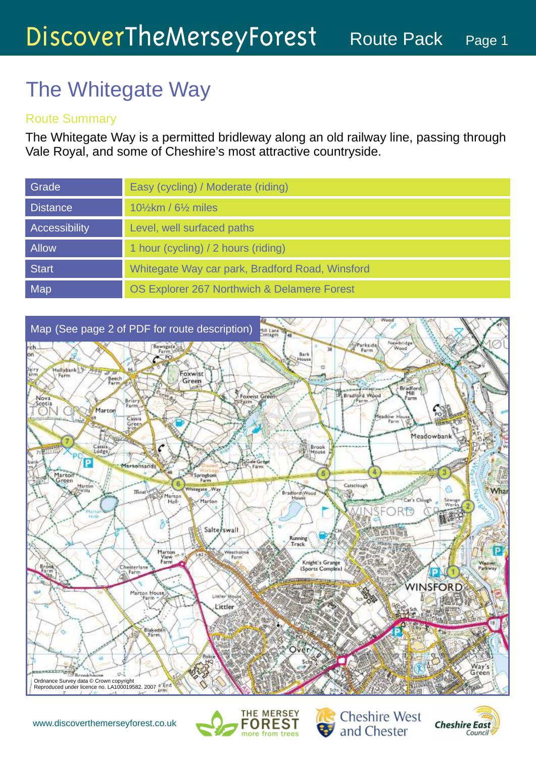# The Whitegate Way

### Route Summary

The Whitegate Way is a permitted bridleway along an old railway line, passing through Vale Royal, and some of Cheshire's most attractive countryside.

| Grade           | Easy (cycling) / Moderate (riding)              |
|-----------------|-------------------------------------------------|
| <b>Distance</b> | $10\frac{1}{2}$ km / 6 $\frac{1}{2}$ miles      |
| Accessibility   | Level, well surfaced paths                      |
| <b>Allow</b>    | 1 hour (cycling) / 2 hours (riding)             |
| <b>Start</b>    | Whitegate Way car park, Bradford Road, Winsford |
| Map             | OS Explorer 267 Northwich & Delamere Forest     |







**Cheshire West** and Chester

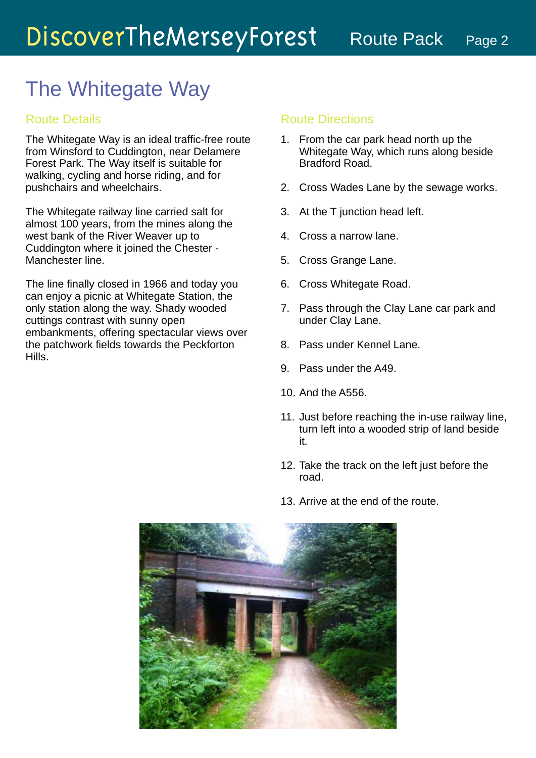### The Whitegate Way

### Route Details

The Whitegate Way is an ideal traffic-free route from Winsford to Cuddington, near Delamere Forest Park. The Way itself is suitable for walking, cycling and horse riding, and for pushchairs and wheelchairs.

The Whitegate railway line carried salt for almost 100 years, from the mines along the west bank of the River Weaver up to Cuddington where it joined the Chester - Manchester line.

The line finally closed in 1966 and today you can enjoy a picnic at Whitegate Station, the only station along the way. Shady wooded cuttings contrast with sunny open embankments, offering spectacular views over the patchwork fields towards the Peckforton Hills.

#### Route Directions

- 1. From the car park head north up the Whitegate Way, which runs along beside Bradford Road.
- 2. Cross Wades Lane by the sewage works.
- 3. At the T junction head left.
- 4. Cross a narrow lane.
- 5. Cross Grange Lane.
- 6. Cross Whitegate Road.
- 7. Pass through the Clay Lane car park and under Clay Lane.
- Pass under Kennel Lane. 8.
- 9. Pass under the A49.
- 10. And the A556.
- 11. Just before reaching the in-use railway line, turn left into a wooded strip of land beside it.
- 12. Take the track on the left just before the road.
- 13. Arrive at the end of the route.